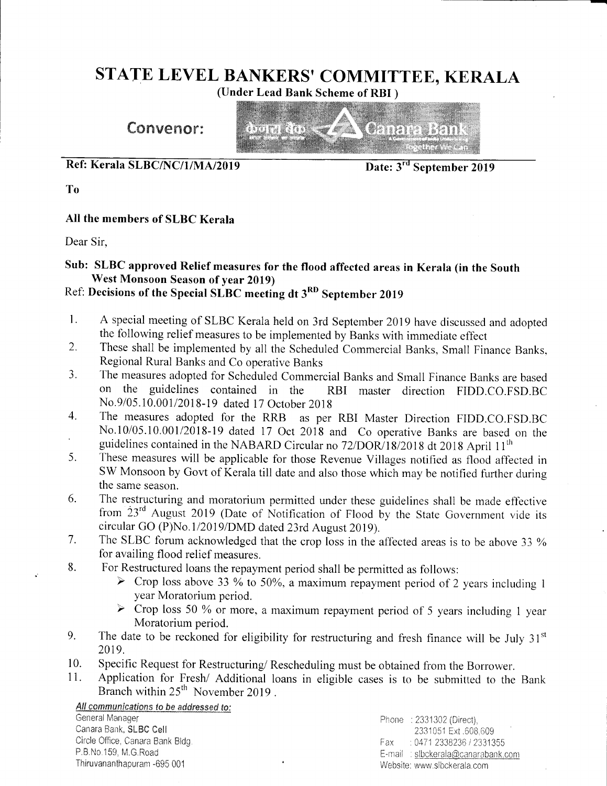# STATE LEVEL BANKERS' COMMITTEE, KERALA

(Under Lead Bank Scheme of RBI )

Convenor:



Ref: Kerala SLBC/NC/1/MA/2019 Date: 3<sup>rd</sup> September 2019

To

### All the members of SLBC Kerala

Dear Sir,

### Sub: SLBC approved Relief measures for the flood affected areas in Kerala (in the South West Monsoon Season of year 2019)

# Ref: Decisions of the Special SLBC meeting dt 3<sup>RD</sup> September 2019

- l. A special meeting of SLBC Kerala held on 3rd September 2019 have discussed and adopted
- 2. These shall be implemented by all the Scheduled Commercial Banks, Small Finance Banks, Regional Rural Banks and Co operative Banks
- 3. The measures adopted for Scheduled Commercial Banks and Small Finance Banks are based<br>on the guidelines contained in the RBI master direction FIDD.CO.FSD.BC RBI master direction FIDD.CO.FSD.BC No.9/05.10.001/2018-19 dated 17 October 2018
- 4. The measures adopted for the RRB as per RBI Master Direction FIDD.CO.FSD.BC<br>No.10/05.10.001/2018-19 dated 17 Oct 2018 and Co operative Banks are based on the
- guidelines contained in the NABARD Circular no 72/DOR/18/2018 dt 2018 April 11<sup>th</sup> 5. These measures will be applicable for those Revenue Villages notified as flood affected in SW Monsoon by Govt of Kerala till date and also those which may be notified further during the same season.
- 6. The restructuring and moratorium permitted under these guidelines shall be made effective from 23<sup>rd</sup> August 2019 (Date of Notification of Flood by the State Government vide its circular GO (P)No.1/2019/DMD dated 23rd August 2019).
- 7. The SLBC forum acknowledged that the crop loss in the affected areas is to be above 33 % for availing flood relief measures.
- 
- 8. For Restructured loans the repayment period shall be permitted as follows:<br>  $\triangleright$  Crop loss above 33 % to 50%, a maximum repayment period of 2 years including 1 year Moratorium period.<br>
> Crop loss 50 % or more, a maximum repayment period of 5 years including 1 year
	- Moratorium period.
- 9. The date to be reckoned for eligibility for restructuring and fresh finance will be July  $31<sup>st</sup>$ 2019.
- 
- 10. Specific Request for Restructuring/ Rescheduling must be obtained from the Borrower.<br>11. Application for Fresh/ Additional loans in eligible cases is to be submitted to the Bank Branch within  $25<sup>th</sup>$  November 2019.

All communications to be addressed to:

General Manager Canara Bank, SLBC Cell Circle Office, Canara Bank Bldg. P.B.No.159, M.G. Road Thiruvananthapuram -695 001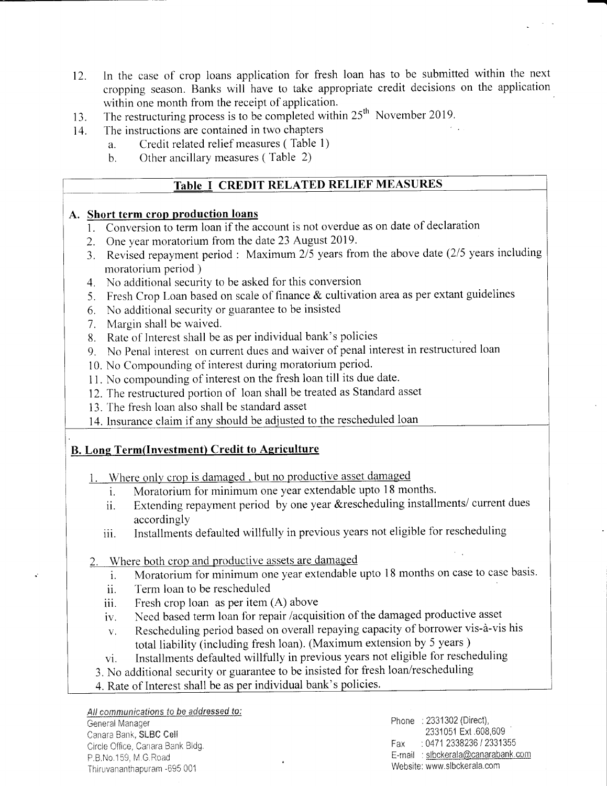- 12. ln the case of crop loans application for fresh loan has to be submitted within the next cropping season. Banks will have to take appropriate credit decisions on the application within one month from the receipt of application.
- The restructuring process is to be completed within  $25<sup>th</sup>$  November 2019. 13.
- The instructions are contained in two chapters 14.
	- a. Credit related relief measures ( Table l)
	- b. Other ancillary measures ( Table 2)

### Table I CREDIT RELATED RELIEF MEASURES

#### A. Short term crop production loans

- $\overline{1}$ . Conversion to term loan if the account is not overdue as on date of declaration
- 2. One year moratorium from the dare 23 August 2019.
- 3. Revised repayment period : Maximum 2/5 years from the above date (2/5 years including moratorium period )
- 4. No additional security to be asked for this conversion
- 5. Fresh Crop Loan based on scale of finance & cultivation area as per extant guidelines
- 6. No additional security or guarantee to be insisted
- 7. Margin shall be waived.
- 8. Rate of Interest shall be as per individual bank's policies
- 9. No Penal interest on current dues and waiver of penal interest in restructured loan
- 10. No Compounding of interest during moratorium period.
- <sup>1</sup>1. No compounding of interest on the fresh loan till its due date.
- 12. The restructured portion of loan shall be treated as Standard asset
- 13. 'fhe fiesh loan also shall be standard asset
- 14. lnsurance claim if any should be adiusted to the rescheduled loan

### B. Long Term(Investment) Credit to Agriculture

1. Where only crop is damaged, but no productive asset damaged<br>i. Moratorium for minimum one year extendable upto 18 months.

- 
- ii. Extending repayment period by one year &rescheduling installments/ current dues accordingly
- iii. Installments defaulted willfully in previous years not eligible for rescheduling
- 2. Where both crop and productive assets are damaged
	- $\overline{\mathbf{i}}$ . Moratorium for minimum one year extendable upto 18 months on case to case basis.
	- ii. Term loan to be rescheduled
	- iii. Fresh crop loan as per item (A) above
	- iv. Need based term loan for repair /acquisition of the damaged productive asset
	- v. Rescheduling period based on overall repaying capacity of borrower vis-à-vis his total liability (including fresh loan). (Maximum extension by 5 years )
	- vi. Installments defaulted willfully in previous years not eligible for rescheduling
- 3. No additional security or guarantee to be insisted for fresh loan/rescheduling
- 4. Rate of Interest shall be as per individual bank's policies.

All communications to be addressed to: General Manager Canara Bank, SLBC Cell Circle Office, Canara Bank Bldg. P.B.No.159, M.G.Road Thiruvananthapuram -695 001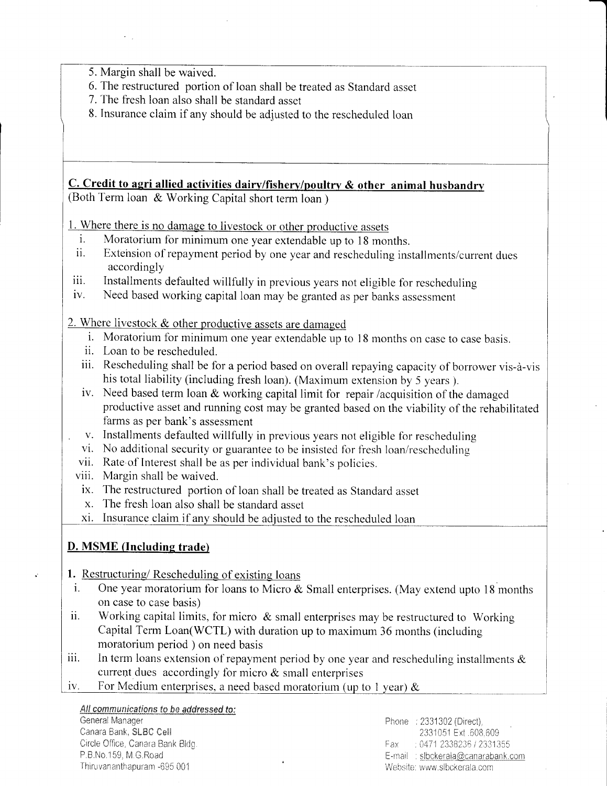- 5. Margin shall be waived.
- 6. The restructured portion of loan shall be treated as Standard asset
- 7. The fresh loan also shall be standard asset
- 8. Insurance claim if any should be adjusted to the rescheduled loan

### C. Credit to agri allied activities dairy/fishery/poultry  $\&$  other animal husbandry

(Both Term loan & Working Capital short term loan )

1. Where there is no damage to livestock or other productive assets

- Moratorium for minimum one year extendable up to l8 months i.
- $ii.$ Extension of repayment period by one year and rescheduling installments/current dues accordingly
- nstallments defaulted willfully in previous years not eligible for rescheduling iii.
- v. Need based working capital loan may be granted as per banks assessment

2. Where livestock & other productive assets are damaged

- i. Moratorium for minimum one year extendable up to 18 months on case to case basis.
- ii. Loan to be rescheduled.
- iii. Rescheduling shall be for a period based on overall repaying capacity of borrower vis-à-vis his total liability (including fresh loan). (Maximum extension by 5 years ).
- iv. Need based term loan  $\&$  working capital limit for repair /acquisition of the damaged productive asset and running cost may be granted based on the viability of the rehabilitated farms as per bank's assessment
- . v. Instalhnents defaulted willfully in previous years not eligible for rescheduling
- vi. No additional security or guarantee to be insisted for fresh loan/rescheduling
- vii. Rate of Interest shall be as per individual bank's policies.
- viii. Margin shall be waived.
- ix. The restructured portion of loan shall be treated as Standard asset
- x. The fresh loan also shall be standard asset
- xi. Insurance claim if anv should be adiusted to the rescheduled loan

# D. MSME (Includine trade)

- 1. Restructuring/ Rescheduling of existing loans
- i. One year moratorium for loans to Micro  $&$  Small enterprises. (May extend upto 18 months on case to case basis)
- ii. Working capital limits, for micro  $\&$  small enterprises may be restructured to Working Capital Term Loan(WCTL) with duration up to maximum 36 months (including moratorium period ) on need basis
- iii. In term loans extension of repayment period by one year and rescheduling installments  $\&$ current dues accordingly for micro  $&$  small enterprises
- iv. For Medium enterprises, a need based moratorium (up to 1 year)  $\&$

#### All communications to be addressed to:

General Manager Canara Bank, SLBC Cell Circle Office, Canara Bank Bldg. P.B.No.159, M.G.Road Thiruvananthapuram -695 001<br>.

Phone : 2331302 (Direct), 2331051 Ext. 608,609 Fax: : 0471 2338236 / 2331355 E-mail : slbckerala@canarabank.com Website: www.slbckerala.com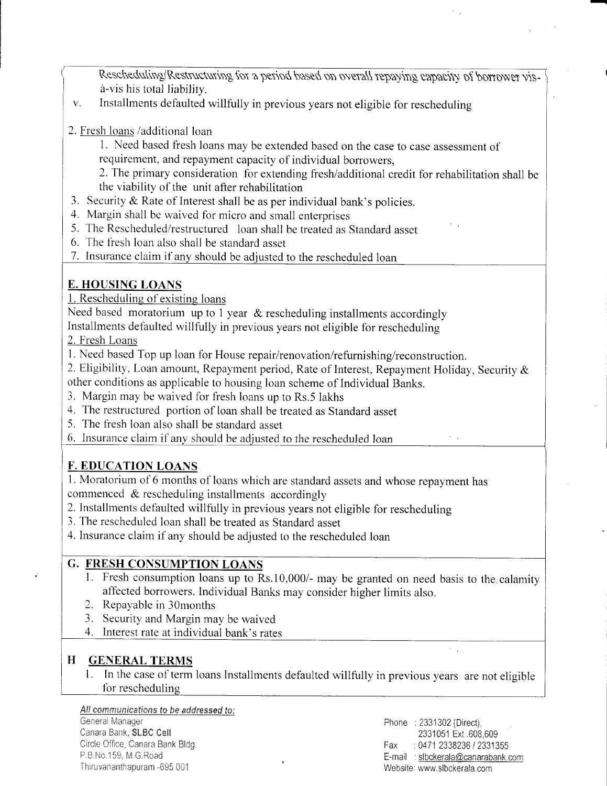Rescheduling/Restructuring for a period based on overall repaying capacity of borrower visà-vis his total liability.

- v. Installments defaulted willfully in previous years not eligible for rescheduling
- 2. Fresh loans /additional loan

1. Need based fiesh loans may be extended based on the case to case assessment of requirement, and repayment capacity of individual borrowers,

2. The primary consideration for extending fresh/additional credit for rehabilitation shall be the viability of the unit after rehabilitation

- 3. Security & Rate of Interest shall be as per individual bank's policies.
- 4. Margin shall be waived for micro and small enterprises
- 5. The Rescheduled/restructured loan shall be treated as Standard asset
- 6. The fresh loan also shall be standard asset
- 7. Insurance claim if any should be adiusted to the rescheduled loan

# E. HOUSING LOANS

1. Rescheduling of existing loans

Need based moratorium up to 1 year & rescheduling installments accordingly

Installments detaulted willfully in previous years not eligible for rescheduling

2. Fresh Loans

- 1. Need based Top up loan for House repair/renovation/refurnishing/reconstruction.
- 2. Eligibility, Loan amount, Repayment period, Rate of Interest, Repayment Holiday, Security  $\&$ other conditions as applicable to housing loan scheme of Individual Banks.
- 3. Margin may be waived for fresh loans up to Rs.5 lakhs
- 4. The restructured portion of loan shall be treated as Standard asset
- 5. The fiesh loan also shall be standard asset

6. Insurance claim if any should be adiusted to the rescheduled loan

# F. EDUCATION LOANS

<sup>1</sup>. Moratorium of 6 months of loans which are standard assets and whose repayment has commenced & rescheduling installments accordingly

- 2. Installments defaulted willfully in previous years not eligible for rescheduling
- 3. The rescheduled loan shall be treated as Standard asset
- 4. lnsurance claim if any should be adjusted to the rescheduled loan

### G. <u>FRESH CONSUMPTION LOANS</u>

- 1. Fresh consumption loans up to Rs.10,000/- may be granted on need basis to the calamity affected borrowers. Individual Banks may consider higher limits also.
- 2. Repayable in 30months
- 3. Security and Margin may be waived
- 4. Interest rate at individual bank's rates

# **H** GENERAL TERMS

1. In the case of term loans Installments defaulted willfully in previous years are not eligible for rescheduling

### All communications to be addressed to:

General Manager Canara Bank, SLBC Cell Circle Office, Canara Bank Bldg. P.B.No.159, M.G.Road Thiruvananthapuram -695 001

Phone : 2331302 (Direct), 2331051 Ext .608,609 Fax : 0471 2338?36 / 2331355 E-mail : slbckerala@canarabank.com Website: www.slbckerala.com

 $\sim 10^7$